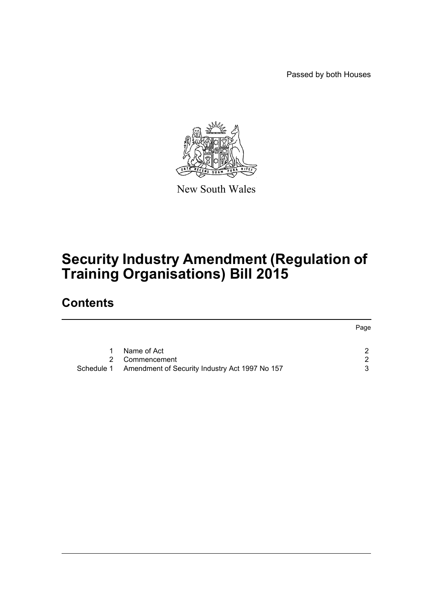Passed by both Houses



New South Wales

# **Security Industry Amendment (Regulation of Training Organisations) Bill 2015**

### **Contents**

|                                                           | Page |
|-----------------------------------------------------------|------|
| Name of Act                                               | ົາ   |
| Commencement                                              | 2    |
| Schedule 1 Amendment of Security Industry Act 1997 No 157 | 3    |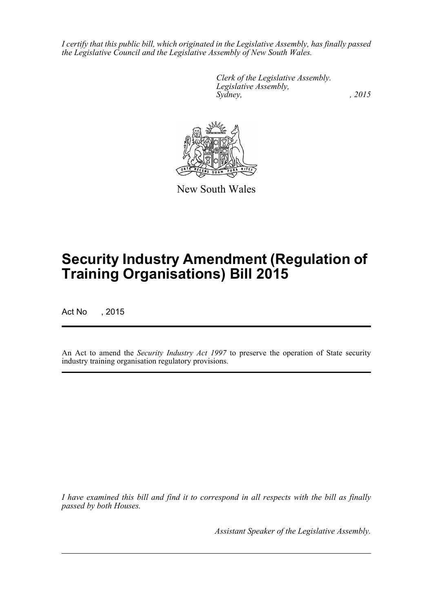*I certify that this public bill, which originated in the Legislative Assembly, has finally passed the Legislative Council and the Legislative Assembly of New South Wales.*

> *Clerk of the Legislative Assembly. Legislative Assembly, Sydney,* , 2015



New South Wales

# **Security Industry Amendment (Regulation of Training Organisations) Bill 2015**

Act No , 2015

An Act to amend the *Security Industry Act 1997* to preserve the operation of State security industry training organisation regulatory provisions.

*I have examined this bill and find it to correspond in all respects with the bill as finally passed by both Houses.*

*Assistant Speaker of the Legislative Assembly.*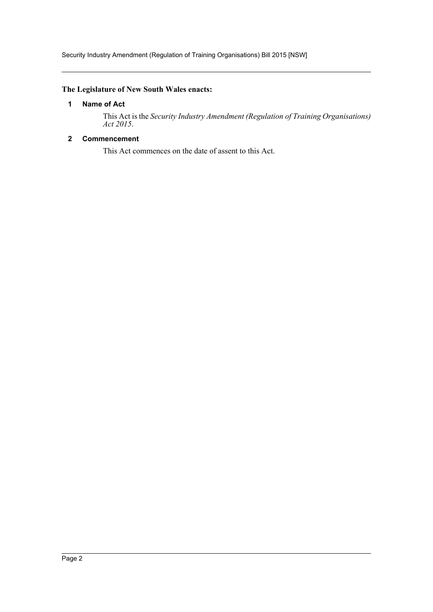Security Industry Amendment (Regulation of Training Organisations) Bill 2015 [NSW]

#### <span id="page-2-0"></span>**The Legislature of New South Wales enacts:**

#### **1 Name of Act**

This Act is the *Security Industry Amendment (Regulation of Training Organisations) Act 2015*.

#### <span id="page-2-1"></span>**2 Commencement**

This Act commences on the date of assent to this Act.